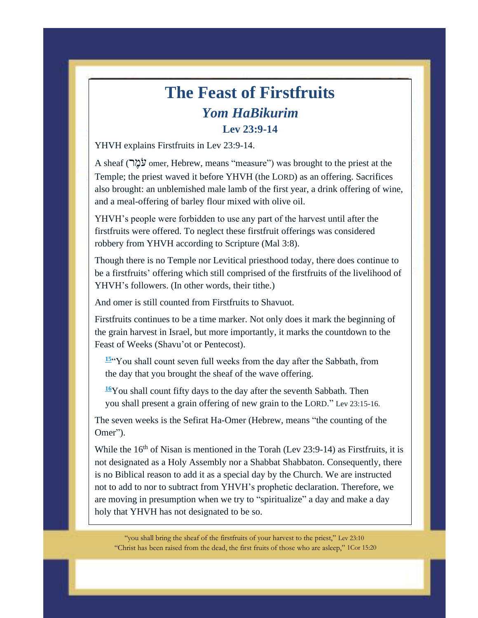## **The Feast of Firstfruits** *Yom HaBikurim*  **Lev 23:9-14**

YHVH explains Firstfruits in Lev 23:9-14.

A sheaf (מְהֵי omer, Hebrew, means "measure") was brought to the priest at the Temple; the priest waved it before YHVH (the LORD) as an offering. Sacrifices also brought: an unblemished male lamb of the first year, a drink offering of wine, and a meal-offering of barley flour mixed with olive oil.

YHVH's people were forbidden to use any part of the harvest until after the firstfruits were offered. To neglect these firstfruit offerings was considered robbery from YHVH according to Scripture (Mal 3:8).

Though there is no Temple nor Levitical priesthood today, there does continue to be a firstfruits' offering which still comprised of the firstfruits of the livelihood of YHVH's followers. (In other words, their tithe.)

And omer is still counted from Firstfruits to Shavuot.

Firstfruits continues to be a time marker. Not only does it mark the beginning of the grain harvest in Israel, but more importantly, it marks the countdown to the Feast of Weeks (Shavu'ot or Pentecost).

**[15](http://biblehub.com/leviticus/23-15.htm)**"You shall count seven full weeks from the day after the Sabbath, from the day that you brought the sheaf of the wave offering.

**[16](http://biblehub.com/leviticus/23-16.htm)**You shall count fifty days to the day after the seventh Sabbath. Then you shall present a grain offering of new grain to the LORD." Lev 23:15-16.

The seven weeks is the Sefirat Ha-Omer (Hebrew, means "the counting of the Omer").

While the  $16<sup>th</sup>$  of Nisan is mentioned in the Torah (Lev 23:9-14) as Firstfruits, it is not designated as a Holy Assembly nor a Shabbat Shabbaton. Consequently, there is no Biblical reason to add it as a special day by the Church. We are instructed not to add to nor to subtract from YHVH's prophetic declaration. Therefore, we are moving in presumption when we try to "spiritualize" a day and make a day holy that YHVH has not designated to be so.

"you shall bring the sheaf of the firstfruits of your harvest to the priest," Lev 23:10 "Christ has been raised from the dead, the first fruits of those who are asleep," 1Cor 15:20

**Resurrection, Past, Present or To Come**